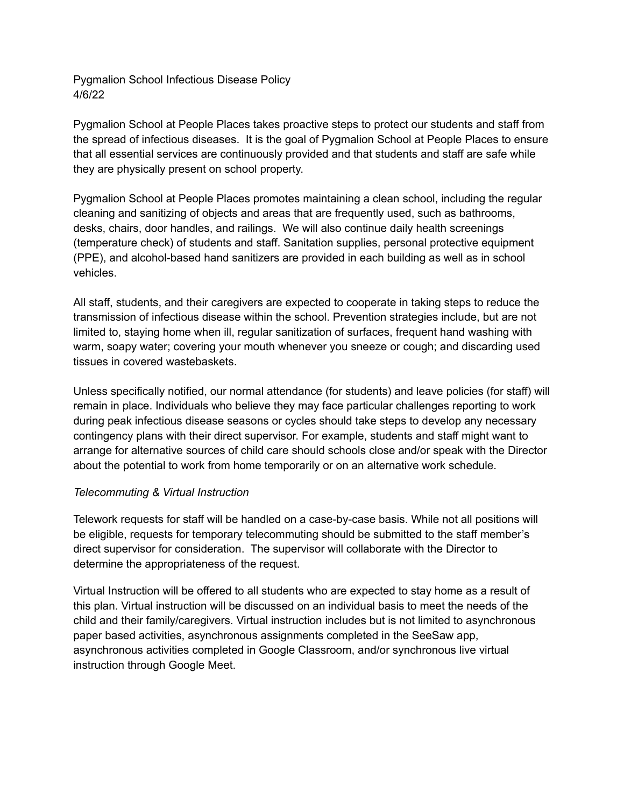Pygmalion School Infectious Disease Policy 4/6/22

Pygmalion School at People Places takes proactive steps to protect our students and staff from the spread of infectious diseases. It is the goal of Pygmalion School at People Places to ensure that all essential services are continuously provided and that students and staff are safe while they are physically present on school property.

Pygmalion School at People Places promotes maintaining a clean school, including the regular cleaning and sanitizing of objects and areas that are frequently used, such as bathrooms, desks, chairs, door handles, and railings. We will also continue daily health screenings (temperature check) of students and staff. Sanitation supplies, personal protective equipment (PPE), and alcohol-based hand sanitizers are provided in each building as well as in school vehicles.

All staff, students, and their caregivers are expected to cooperate in taking steps to reduce the transmission of infectious disease within the school. Prevention strategies include, but are not limited to, staying home when ill, regular sanitization of surfaces, frequent hand washing with warm, soapy water; covering your mouth whenever you sneeze or cough; and discarding used tissues in covered wastebaskets.

Unless specifically notified, our normal attendance (for students) and leave policies (for staff) will remain in place. Individuals who believe they may face particular challenges reporting to work during peak infectious disease seasons or cycles should take steps to develop any necessary contingency plans with their direct supervisor. For example, students and staff might want to arrange for alternative sources of child care should schools close and/or speak with the Director about the potential to work from home temporarily or on an alternative work schedule.

### *Telecommuting & Virtual Instruction*

Telework requests for staff will be handled on a case-by-case basis. While not all positions will be eligible, requests for temporary telecommuting should be submitted to the staff member's direct supervisor for consideration. The supervisor will collaborate with the Director to determine the appropriateness of the request.

Virtual Instruction will be offered to all students who are expected to stay home as a result of this plan. Virtual instruction will be discussed on an individual basis to meet the needs of the child and their family/caregivers. Virtual instruction includes but is not limited to asynchronous paper based activities, asynchronous assignments completed in the SeeSaw app, asynchronous activities completed in Google Classroom, and/or synchronous live virtual instruction through Google Meet.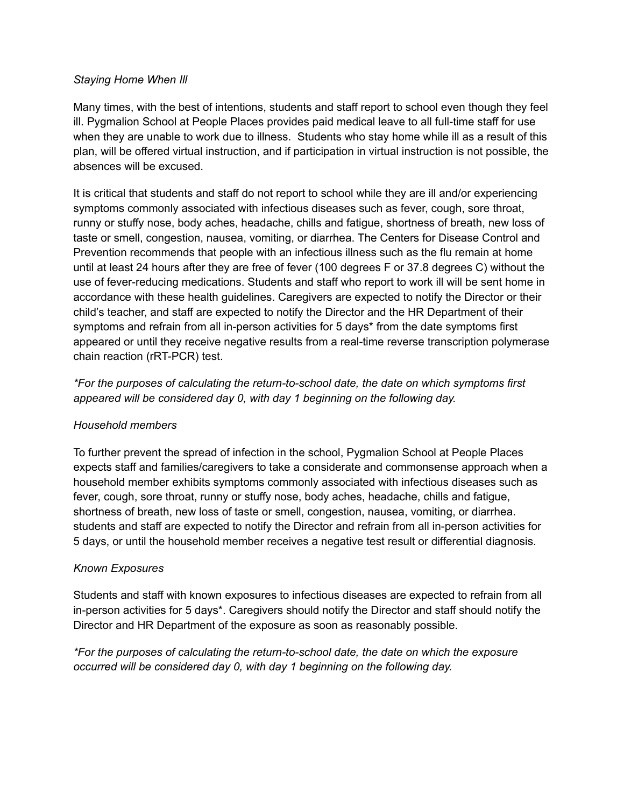## *Staying Home When Ill*

Many times, with the best of intentions, students and staff report to school even though they feel ill. Pygmalion School at People Places provides paid medical leave to all full-time staff for use when they are unable to work due to illness. Students who stay home while ill as a result of this plan, will be offered virtual instruction, and if participation in virtual instruction is not possible, the absences will be excused.

It is critical that students and staff do not report to school while they are ill and/or experiencing symptoms commonly associated with infectious diseases such as fever, cough, sore throat, runny or stuffy nose, body aches, headache, chills and fatigue, shortness of breath, new loss of taste or smell, congestion, nausea, vomiting, or diarrhea. The Centers for Disease Control and Prevention recommends that people with an infectious illness such as the flu remain at home until at least 24 hours after they are free of fever (100 degrees F or 37.8 degrees C) without the use of fever-reducing medications. Students and staff who report to work ill will be sent home in accordance with these health guidelines. Caregivers are expected to notify the Director or their child's teacher, and staff are expected to notify the Director and the HR Department of their symptoms and refrain from all in-person activities for 5 days\* from the date symptoms first appeared or until they receive negative results from a real-time reverse transcription polymerase chain reaction (rRT-PCR) test.

*\*For the purposes of calculating the return-to-school date, the date on which symptoms first appeared will be considered day 0, with day 1 beginning on the following day.*

# *Household members*

To further prevent the spread of infection in the school, Pygmalion School at People Places expects staff and families/caregivers to take a considerate and commonsense approach when a household member exhibits symptoms commonly associated with infectious diseases such as fever, cough, sore throat, runny or stuffy nose, body aches, headache, chills and fatigue, shortness of breath, new loss of taste or smell, congestion, nausea, vomiting, or diarrhea. students and staff are expected to notify the Director and refrain from all in-person activities for 5 days, or until the household member receives a negative test result or differential diagnosis.

# *Known Exposures*

Students and staff with known exposures to infectious diseases are expected to refrain from all in-person activities for 5 days\*. Caregivers should notify the Director and staff should notify the Director and HR Department of the exposure as soon as reasonably possible.

*\*For the purposes of calculating the return-to-school date, the date on which the exposure occurred will be considered day 0, with day 1 beginning on the following day.*